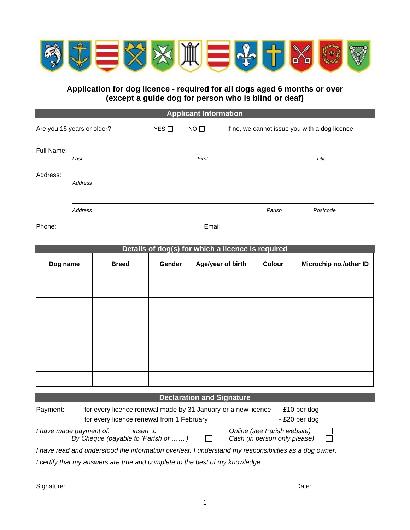

**Application for dog licence - required for all dogs aged 6 months or over (except a guide dog for person who is blind or deaf)**

**Applicant Information** 

| Are you 16 years or older? |                | YES $\Box$ | $NO$ $\Box$ | If no, we cannot issue you with a dog licence |
|----------------------------|----------------|------------|-------------|-----------------------------------------------|
| Full Name:                 |                |            |             |                                               |
|                            | Last           |            | First       | Title.                                        |
| Address:                   |                |            |             |                                               |
|                            | Address        |            |             |                                               |
|                            | <b>Address</b> |            |             | Parish<br>Postcode                            |
| Phone:                     |                |            | Email       |                                               |

| Details of dog(s) for which a licence is required |              |        |                   |        |                        |
|---------------------------------------------------|--------------|--------|-------------------|--------|------------------------|
| Dog name                                          | <b>Breed</b> | Gender | Age/year of birth | Colour | Microchip no./other ID |
|                                                   |              |        |                   |        |                        |
|                                                   |              |        |                   |        |                        |
|                                                   |              |        |                   |        |                        |
|                                                   |              |        |                   |        |                        |
|                                                   |              |        |                   |        |                        |
|                                                   |              |        |                   |        |                        |
|                                                   |              |        |                   |        |                        |
|                                                   |              |        |                   |        |                        |
|                                                   |              |        |                   |        |                        |

## **Declaration and Signature**

| Payment:                                                                                              | for every licence renewal made by 31 January or a new licence<br>- £10 per dog |                                                 |              |                                                             |              |
|-------------------------------------------------------------------------------------------------------|--------------------------------------------------------------------------------|-------------------------------------------------|--------------|-------------------------------------------------------------|--------------|
|                                                                                                       |                                                                                | for every licence renewal from 1 February       |              | - £20 per dog                                               |              |
| I have made payment of:                                                                               |                                                                                | insert £<br>By Cheque (payable to 'Parish of ') | $\mathbf{I}$ | Online (see Parish website)<br>Cash (in person only please) | $\mathbf{1}$ |
| I have read and understood the information overleaf. I understand my responsibilities as a dog owner. |                                                                                |                                                 |              |                                                             |              |

*I certify that my answers are true and complete to the best of my knowledge.* 

Signature: Date: